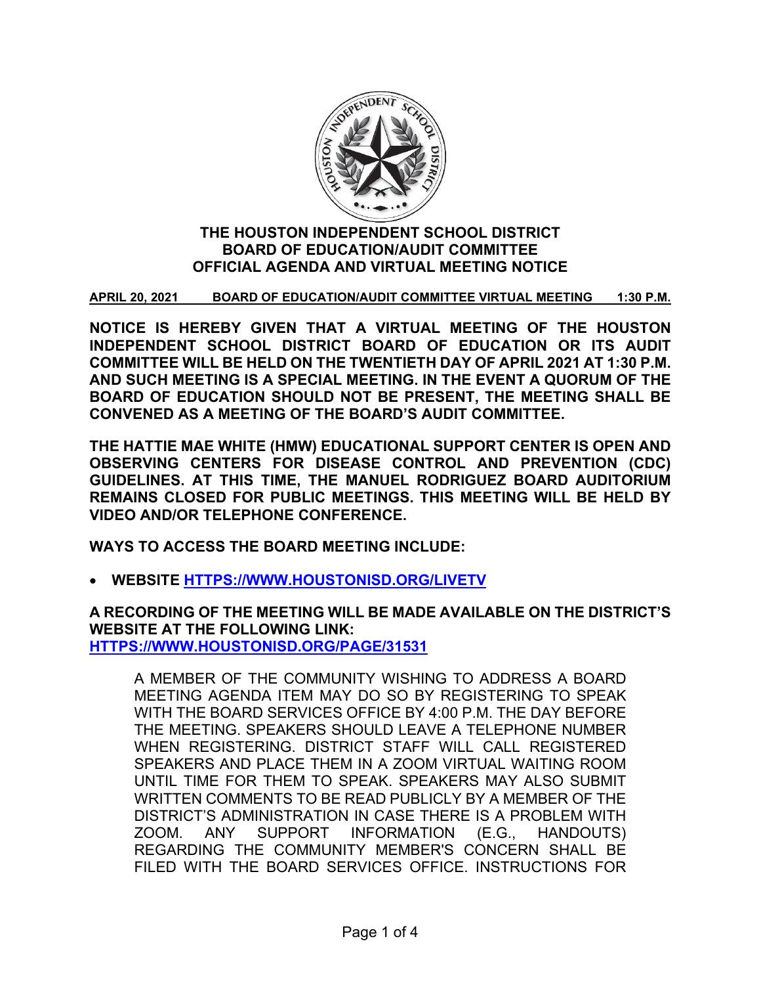

# **THE HOUSTON INDEPENDENT SCHOOL DISTRICT BOARD OF EDUCATION/AUDIT COMMITTEE OFFICIAL AGENDA AND VIRTUAL MEETING NOTICE**

**APRIL 20, 2021 BOARD OF EDUCATION/AUDIT COMMITTEE VIRTUAL MEETING 1:30 P.M.**

**NOTICE IS HEREBY GIVEN THAT A VIRTUAL MEETING OF THE HOUSTON INDEPENDENT SCHOOL DISTRICT BOARD OF EDUCATION OR ITS AUDIT COMMITTEE WILL BE HELD ON THE TWENTIETH DAY OF APRIL 2021 AT 1:30 P.M. AND SUCH MEETING IS A SPECIAL MEETING. IN THE EVENT A QUORUM OF THE BOARD OF EDUCATION SHOULD NOT BE PRESENT, THE MEETING SHALL BE CONVENED AS A MEETING OF THE BOARD'S AUDIT COMMITTEE.**

**THE HATTIE MAE WHITE (HMW) EDUCATIONAL SUPPORT CENTER IS OPEN AND OBSERVING CENTERS FOR DISEASE CONTROL AND PREVENTION (CDC) GUIDELINES. AT THIS TIME, THE MANUEL RODRIGUEZ BOARD AUDITORIUM REMAINS CLOSED FOR PUBLIC MEETINGS. THIS MEETING WILL BE HELD BY VIDEO AND/OR TELEPHONE CONFERENCE.**

**WAYS TO ACCESS THE BOARD MEETING INCLUDE:**

• **WEBSITE [HTTPS://WWW.HOUSTONISD.ORG/LIVETV](https://www.houstonisd.org/livetv)**

**A RECORDING OF THE MEETING WILL BE MADE AVAILABLE ON THE DISTRICT'S WEBSITE AT THE FOLLOWING LINK: [HTTPS://WWW.HOUSTONISD.ORG/PAGE/31531](https://www.houstonisd.org/Page/31531)**

A MEMBER OF THE COMMUNITY WISHING TO ADDRESS A BOARD MEETING AGENDA ITEM MAY DO SO BY REGISTERING TO SPEAK WITH THE BOARD SERVICES OFFICE BY 4:00 P.M. THE DAY BEFORE THE MEETING. SPEAKERS SHOULD LEAVE A TELEPHONE NUMBER WHEN REGISTERING. DISTRICT STAFF WILL CALL REGISTERED SPEAKERS AND PLACE THEM IN A ZOOM VIRTUAL WAITING ROOM UNTIL TIME FOR THEM TO SPEAK. SPEAKERS MAY ALSO SUBMIT WRITTEN COMMENTS TO BE READ PUBLICLY BY A MEMBER OF THE DISTRICT'S ADMINISTRATION IN CASE THERE IS A PROBLEM WITH ZOOM. ANY SUPPORT INFORMATION (E.G., HANDOUTS) REGARDING THE COMMUNITY MEMBER'S CONCERN SHALL BE FILED WITH THE BOARD SERVICES OFFICE. INSTRUCTIONS FOR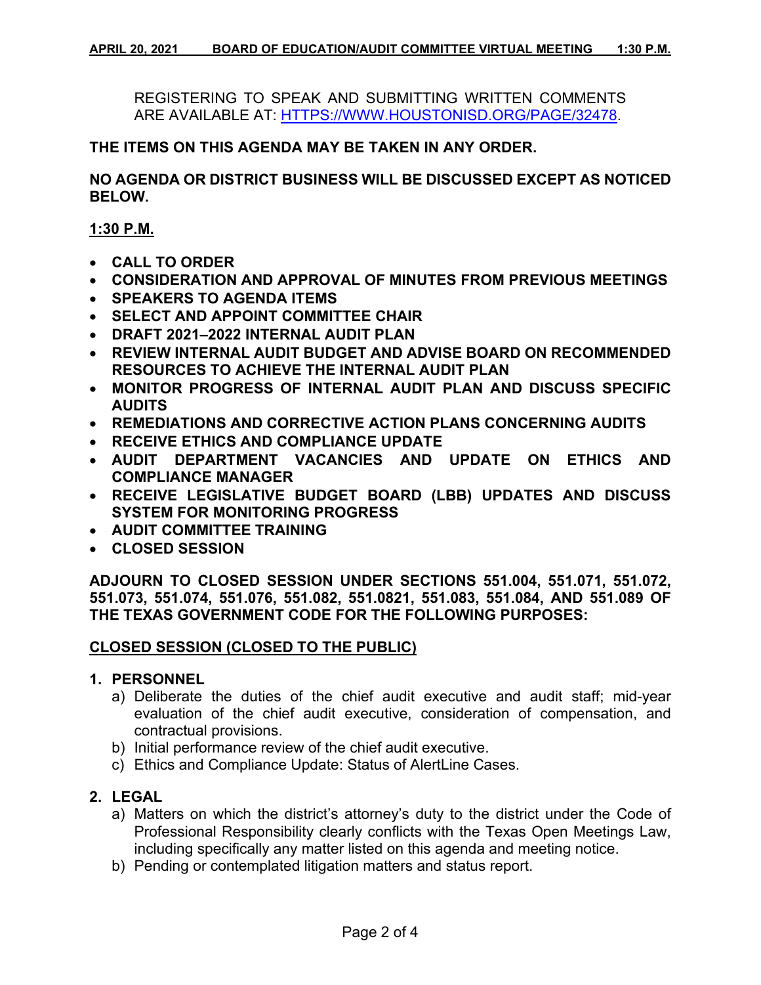REGISTERING TO SPEAK AND SUBMITTING WRITTEN COMMENTS ARE AVAILABLE AT: [HTTPS://WWW.HOUSTONISD.ORG/PAGE/32478.](https://www.houstonisd.org/Page/32478)

### **THE ITEMS ON THIS AGENDA MAY BE TAKEN IN ANY ORDER.**

**NO AGENDA OR DISTRICT BUSINESS WILL BE DISCUSSED EXCEPT AS NOTICED BELOW.**

**1:30 P.M.**

- **CALL TO ORDER**
- **CONSIDERATION AND APPROVAL OF MINUTES FROM PREVIOUS MEETINGS**
- **SPEAKERS TO AGENDA ITEMS**
- **SELECT AND APPOINT COMMITTEE CHAIR**
- **DRAFT 2021–2022 INTERNAL AUDIT PLAN**
- **REVIEW INTERNAL AUDIT BUDGET AND ADVISE BOARD ON RECOMMENDED RESOURCES TO ACHIEVE THE INTERNAL AUDIT PLAN**
- **MONITOR PROGRESS OF INTERNAL AUDIT PLAN AND DISCUSS SPECIFIC AUDITS**
- **REMEDIATIONS AND CORRECTIVE ACTION PLANS CONCERNING AUDITS**
- **RECEIVE ETHICS AND COMPLIANCE UPDATE**
- **AUDIT DEPARTMENT VACANCIES AND UPDATE ON ETHICS AND COMPLIANCE MANAGER**
- **RECEIVE LEGISLATIVE BUDGET BOARD (LBB) UPDATES AND DISCUSS SYSTEM FOR MONITORING PROGRESS**
- **AUDIT COMMITTEE TRAINING**
- **CLOSED SESSION**

**ADJOURN TO CLOSED SESSION UNDER SECTIONS 551.004, 551.071, 551.072, 551.073, 551.074, 551.076, 551.082, 551.0821, 551.083, 551.084, AND 551.089 OF THE TEXAS GOVERNMENT CODE FOR THE FOLLOWING PURPOSES:**

### **CLOSED SESSION (CLOSED TO THE PUBLIC)**

### **1. PERSONNEL**

- a) Deliberate the duties of the chief audit executive and audit staff; mid-year evaluation of the chief audit executive, consideration of compensation, and contractual provisions.
- b) Initial performance review of the chief audit executive.
- c) Ethics and Compliance Update: Status of AlertLine Cases.

### **2. LEGAL**

- a) Matters on which the district's attorney's duty to the district under the Code of Professional Responsibility clearly conflicts with the Texas Open Meetings Law, including specifically any matter listed on this agenda and meeting notice.
- b) Pending or contemplated litigation matters and status report.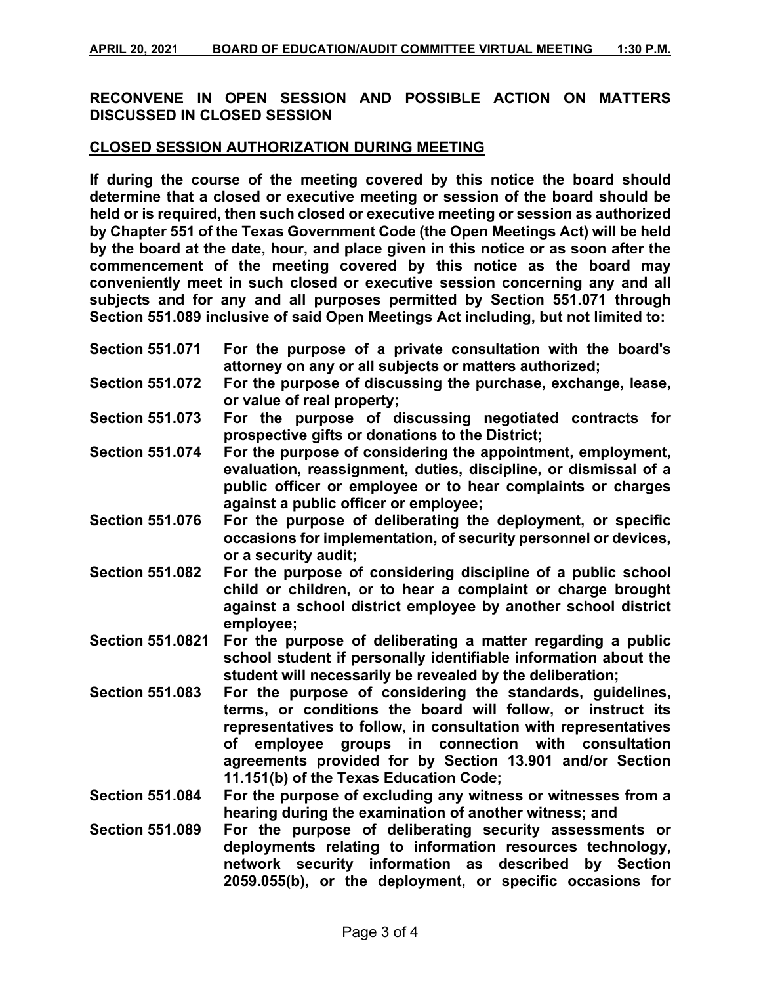# **RECONVENE IN OPEN SESSION AND POSSIBLE ACTION ON MATTERS DISCUSSED IN CLOSED SESSION**

### **CLOSED SESSION AUTHORIZATION DURING MEETING**

**If during the course of the meeting covered by this notice the board should determine that a closed or executive meeting or session of the board should be held or is required, then such closed or executive meeting or session as authorized by Chapter 551 of the Texas Government Code (the Open Meetings Act) will be held by the board at the date, hour, and place given in this notice or as soon after the commencement of the meeting covered by this notice as the board may conveniently meet in such closed or executive session concerning any and all subjects and for any and all purposes permitted by Section 551.071 through Section 551.089 inclusive of said Open Meetings Act including, but not limited to:**

| <b>Section 551.071</b>  | For the purpose of a private consultation with the board's<br>attorney on any or all subjects or matters authorized;                                                                                                                                                                                                                                       |
|-------------------------|------------------------------------------------------------------------------------------------------------------------------------------------------------------------------------------------------------------------------------------------------------------------------------------------------------------------------------------------------------|
| <b>Section 551.072</b>  | For the purpose of discussing the purchase, exchange, lease,<br>or value of real property;                                                                                                                                                                                                                                                                 |
| <b>Section 551.073</b>  | For the purpose of discussing negotiated contracts for<br>prospective gifts or donations to the District;                                                                                                                                                                                                                                                  |
| <b>Section 551.074</b>  | For the purpose of considering the appointment, employment,<br>evaluation, reassignment, duties, discipline, or dismissal of a<br>public officer or employee or to hear complaints or charges<br>against a public officer or employee;                                                                                                                     |
| <b>Section 551.076</b>  | For the purpose of deliberating the deployment, or specific<br>occasions for implementation, of security personnel or devices,<br>or a security audit;                                                                                                                                                                                                     |
| <b>Section 551.082</b>  | For the purpose of considering discipline of a public school<br>child or children, or to hear a complaint or charge brought<br>against a school district employee by another school district<br>employee;                                                                                                                                                  |
| <b>Section 551.0821</b> | For the purpose of deliberating a matter regarding a public<br>school student if personally identifiable information about the<br>student will necessarily be revealed by the deliberation;                                                                                                                                                                |
| <b>Section 551.083</b>  | For the purpose of considering the standards, guidelines,<br>terms, or conditions the board will follow, or instruct its<br>representatives to follow, in consultation with representatives<br>employee groups in connection with consultation<br>of<br>agreements provided for by Section 13.901 and/or Section<br>11.151(b) of the Texas Education Code; |
| <b>Section 551.084</b>  | For the purpose of excluding any witness or witnesses from a<br>hearing during the examination of another witness; and                                                                                                                                                                                                                                     |
| <b>Section 551.089</b>  | For the purpose of deliberating security assessments or<br>deployments relating to information resources technology,<br>network security information as described<br>by Section<br>2059.055(b), or the deployment, or specific occasions for                                                                                                               |